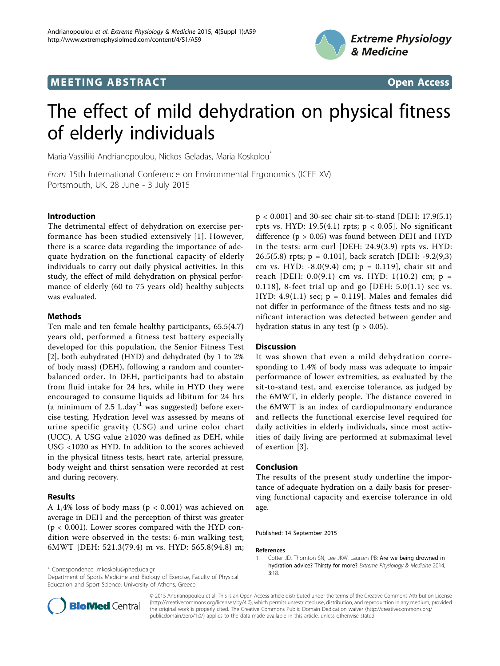# **MEETING ABSTRACT ACCESS**





# The effect of mild dehydration on physical fitness of elderly individuals

Maria-Vassiliki Andrianopoulou, Nickos Geladas, Maria Koskolou\*

From 15th International Conference on Environmental Ergonomics (ICEE XV) Portsmouth, UK. 28 June - 3 July 2015

### Introduction

The detrimental effect of dehydration on exercise performance has been studied extensively [1]. However, there is a scarce data regarding the importance of adequate hydration on the functional capacity of elderly individuals to carry out daily physical activities. In this study, the effect of mild dehydration on physical performance of elderly (60 to 75 years old) healthy subjects was evaluated.

### Methods

Ten male and ten female healthy participants, 65.5(4.7) years old, performed a fitness test battery especially developed for this population, the Senior Fitness Test [[2\]](#page-1-0), both euhydrated (HYD) and dehydrated (by 1 to 2% of body mass) (DEH), following a random and counterbalanced order. In DEH, participants had to abstain from fluid intake for 24 hrs, while in HYD they were encouraged to consume liquids ad libitum for 24 hrs (a minimum of  $2.5$  L.day<sup>-1</sup> was suggested) before exercise testing. Hydration level was assessed by means of urine specific gravity (USG) and urine color chart (UCC). A USG value  $\geq 1020$  was defined as DEH, while USG <1020 as HYD. In addition to the scores achieved in the physical fitness tests, heart rate, arterial pressure, body weight and thirst sensation were recorded at rest and during recovery.

# Results

A 1,4% loss of body mass (p < 0.001) was achieved on average in DEH and the perception of thirst was greater  $(p < 0.001)$ . Lower scores compared with the HYD condition were observed in the tests: 6-min walking test; 6MWT [DEH: 521.3(79.4) m vs. HYD: 565.8(94.8) m;

<sup>3</sup>:18. \* Correspondence: [mkoskolu@phed.uoa.gr](mailto:mkoskolu@phed.uoa.gr)

Department of Sports Medicine and Biology of Exercise, Faculty of Physical Education and Sport Science, University of Athens, Greece

p < 0.001] and 30-sec chair sit-to-stand [DEH: 17.9(5.1) rpts vs. HYD: 19.5(4.1) rpts;  $p < 0.05$ . No significant difference  $(p > 0.05)$  was found between DEH and HYD in the tests: arm curl [DEH: 24.9(3.9) rpts vs. HYD: 26.5(5.8) rpts;  $p = 0.101$ , back scratch [DEH: -9.2(9,3) cm vs. HYD:  $-8.0(9.4)$  cm;  $p = 0.119$ , chair sit and reach [DEH:  $0.0(9.1)$  cm vs. HYD:  $1(10.2)$  cm;  $p =$ 0.118], 8-feet trial up and go [DEH:  $5.0(1.1)$  sec vs. HYD: 4.9(1.1) sec;  $p = 0.119$ . Males and females did not differ in performance of the fitness tests and no significant interaction was detected between gender and hydration status in any test ( $p > 0.05$ ).

# **Discussion**

It was shown that even a mild dehydration corresponding to 1.4% of body mass was adequate to impair performance of lower extremities, as evaluated by the sit-to-stand test, and exercise tolerance, as judged by the 6MWT, in elderly people. The distance covered in the 6MWT is an index of cardiopulmonary endurance and reflects the functional exercise level required for daily activities in elderly individuals, since most activities of daily living are performed at submaximal level of exertion [[3\]](#page-1-0).

### Conclusion

The results of the present study underline the importance of adequate hydration on a daily basis for preserving functional capacity and exercise tolerance in old age.

Published: 14 September 2015

#### References

Cotter JD, Thornton SN, Lee JKW, Laursen PB: [Are we being drowned in](http://www.ncbi.nlm.nih.gov/pubmed/25356197?dopt=Abstract) [hydration advice? Thirsty for more?](http://www.ncbi.nlm.nih.gov/pubmed/25356197?dopt=Abstract) Extreme Physiology & Medicine 2014,



© 2015 Andrianopoulou et al. This is an Open Access article distributed under the terms of the Creative Commons Attribution License [\(http://creativecommons.org/licenses/by/4.0](http://creativecommons.org/licenses/by/4.0)), which permits unrestricted use, distribution, and reproduction in any medium, provided the original work is properly cited. The Creative Commons Public Domain Dedication waiver ([http://creativecommons.org/](http://creativecommons.org/publicdomain/zero/1.0/) [publicdomain/zero/1.0/](http://creativecommons.org/publicdomain/zero/1.0/)) applies to the data made available in this article, unless otherwise stated.